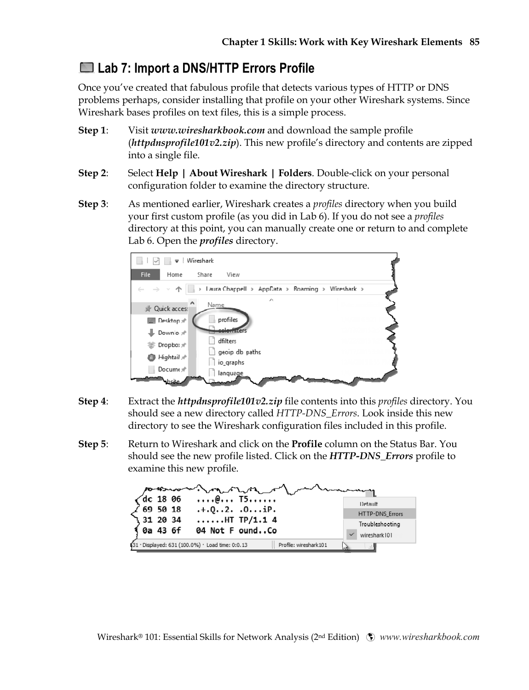## **Lab 7: Import a DNS/HTTP Errors Profile**

Once you've created that fabulous profile that detects various types of HTTP or DNS problems perhaps, consider installing that profile on your other Wireshark systems. Since Wireshark bases profiles on text files, this is a simple process.

- **Step 1**: Visit *www.wiresharkbook.com* and download the sample profile (*httpdnsprofile101v2.zip*). This new profile's directory and contents are zipped into a single file.
- **Step 2**: Select **Help | About Wireshark | Folders**. Double-click on your personal configuration folder to examine the directory structure.
- **Step 3**: As mentioned earlier, Wireshark creates a *profiles* directory when you build your first custom profile (as you did in Lab 6). If you do not see a *profiles* directory at this point, you can manually create one or return to and complete Lab 6. Open the *profiles* directory.



- **Step 4**: Extract the *httpdnsprofile101v2.zip* file contents into this *profiles* directory. You should see a new directory called *HTTP-DNS\_Errors*. Look inside this new directory to see the Wireshark configuration files included in this profile.
- **Step 5**: Return to Wireshark and click on the **Profile** column on the Status Bar. You should see the new profile listed. Click on the *HTTP-DNS\_Errors* profile to examine this new profile.